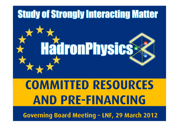

# **COMMITTED RESOURCES AND PRE-FINANCING**

**Governing Board Meeting – LNF, 29 March 2012**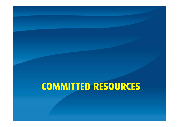## **COMMITTED RESOURCES**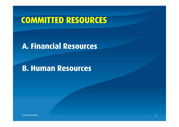#### **COMMITTED RESOURCES COMMITTED**

## **A. Financial Resources**

### **B. Human Resources**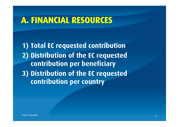#### **A FINANCIAL RESOURCES A. FINANCIAL RESOURCES**

**1 ) Total EC re quested contribution 2) Distribution of the EC requested contribution per beneficiary 3) Distribution of the EC requested contribution per country**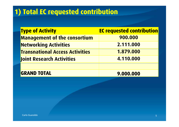## **1) Total EC requested contribution**

| <b>Type of Activity</b>                | <b>EC requested contribution</b> |
|----------------------------------------|----------------------------------|
| <b>Management of the consortium</b>    | 900.000                          |
| <b>Networking Activities</b>           | 2.111.000                        |
| <b>Transnational Access Activities</b> | 1.879.000                        |
| Joint Research Activities              | 4.110.000                        |
|                                        |                                  |
| <b>GRAND TOTAL</b>                     | 9.000.000                        |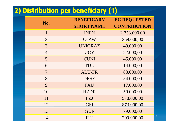## **2) Distribution per beneficiary (1)**

| No.                      | <b>BENEFICARY</b><br><b>SHORT NAME</b> | <b>EC REQUESTED</b><br><b>CONTRIBUTION</b> |
|--------------------------|----------------------------------------|--------------------------------------------|
| $\mathbf{1}$             | <b>INFN</b>                            | 2.753.000,00                               |
| $\overline{2}$           | <b>OeAW</b>                            | 259.000,00                                 |
| $\overline{3}$           | <b>UNIGRAZ</b>                         | 49.000,00                                  |
| $\overline{4}$           | <b>UCY</b>                             | 22.000,00                                  |
| $5\overline{)}$          | <b>CUNI</b>                            | 45.000,00                                  |
| 6                        | TUL                                    | 14.000,00                                  |
| $\overline{\mathcal{L}}$ | <b>ALU-FR</b>                          | 83.000,00                                  |
| 8                        | <b>DESY</b>                            | 54.000,00                                  |
| 9                        | FAU                                    | 17.000,00                                  |
| 10                       | <b>HZDR</b>                            | 50.000,00                                  |
| 11                       | FZJ                                    | 578.000,00                                 |
| 12                       | <b>GSI</b>                             | 873.000,00                                 |
| 13                       | <b>GUF</b>                             | 79.000,00                                  |
| 14                       | JLU                                    | 209.000,00                                 |

6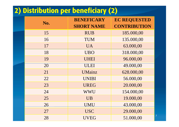## **2) Distribution per beneficiary (2)**

| No. | <b>BENEFICARY</b> | <b>EC REQUESTED</b> |
|-----|-------------------|---------------------|
|     | <b>SHORT NAME</b> | <b>CONTRIBUTION</b> |
| 15  | <b>RUB</b>        | 185.000,00          |
| 16  | <b>TUM</b>        | 135.000,00          |
| 17  | <b>UA</b>         | 63.000,00           |
| 18  | <b>UBO</b>        | 318.000,00          |
| 19  | <b>UHEI</b>       | 96.000,00           |
| 20  | <b>ULEI</b>       | 49.000,00           |
| 21  | <b>UMainz</b>     | 628.000,00          |
| 22  | <b>UNIBI</b>      | 56.000,00           |
| 23  | <b>UREG</b>       | 20.000,00           |
| 24  | WWU               | 154.000,00          |
| 25  | <b>UB</b>         | 19.000,00           |
| 26  | <b>UMU</b>        | 43.000,00           |
| 27  | <b>USC</b>        | 29.000,00           |
| 28  | <b>UVEG</b>       | 51.000,00           |

7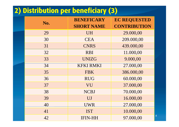## **2) Distribution per beneficiary (3)**

| No. | <b>BENEFICARY</b><br><b>SHORT NAME</b> | <b>EC REQUESTED</b><br><b>CONTRIBUTION</b> |
|-----|----------------------------------------|--------------------------------------------|
|     |                                        |                                            |
| 29  | <b>UH</b>                              | 29.000,00                                  |
| 30  | <b>CEA</b>                             | 209.000,00                                 |
| 31  | <b>CNRS</b>                            | 439.000,00                                 |
| 32  | <b>RBI</b>                             | 11.000,00                                  |
| 33  | <b>UNIZG</b>                           | 9.000,00                                   |
| 34  | <b>KFKI RMKI</b>                       | 27.000,00                                  |
| 35  | <b>FBK</b>                             | 386.000,00                                 |
| 36  | <b>RUG</b>                             | 60.000,00                                  |
| 37  | VU                                     | 37.000,00                                  |
| 38  | <b>NCBJ</b>                            | 70.000,00                                  |
| 39  | UJ                                     | 16.000,00                                  |
| 40  | <b>UWR</b>                             | 27.000,00                                  |
| 41  | <b>IST</b>                             | 10.000,00                                  |
| 42  | <b>IFIN-HH</b>                         | 97.000,00                                  |

8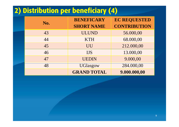## **2) Distribution per beneficiary (4)**

| No. | <b>BENEFICARY</b><br><b>SHORT NAME</b> | <b>EC REQUESTED</b><br><b>CONTRIBUTION</b> |
|-----|----------------------------------------|--------------------------------------------|
| 43  | <b>ULUND</b>                           | 56.000,00                                  |
| 44  | <b>KTH</b>                             | 68.000,00                                  |
| 45  | UU                                     | 212.000,00                                 |
| 46  | <b>IJS</b>                             | 13.000,00                                  |
| 47  | <b>UEDIN</b>                           | 9.000,00                                   |
| 48  | <b>UGlasgow</b>                        | 284.000,00                                 |
|     | <b>GRAND TOTAL</b>                     | 9.000.000,00                               |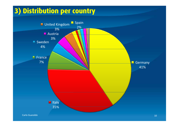## **3) Distribution per country**

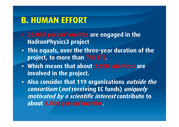#### **B HUMAN EFFORT B.**

- **<sup>26</sup> <sup>000</sup> person\*months are engaged in the 26.000 person months HadronPhysics3 project**
- **Thi l th th This equals, over the three-year d ti f th duration of the project, to more than 700 FTE.**
- **Which means that about 2.500 scientists are involved in the project.**
- **Also consider that 119 organizations outside the consortium (not receiving ) EC funds) uniq y uel motivated by a scientific interest contribute to about 8.000 person\*months.**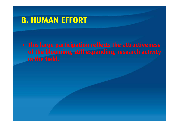#### **B. HUMAN EFFORT**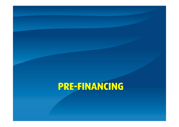## **PRE-FINANCING**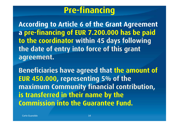## **Pre-financing**

**According to Article 6 of the Grant Agreement a pre-financing of EUR 7.200.000 has be paid financing to the coordinator within 45 days following the date of entry into force of this grant agreement.** 

**Beneficiaries have agreed that the amount of EUR 450 000 450.000, representing 5% of the 5% maximum Community financial contribution, i f di h i b h is transferred in their name by the Commission into the Guarantee Fund.**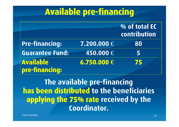## **Available pre-financing**

**% of total EC contributionPre-financing:**  $7.200.000 \in$  **80Guarantee Fund: 450.000**  €**5Available 6.750.000€ 75pre-financing:**

 **The available pre-financing has been distributed has been distributed to the beneficiaries applying the 75% rate received by the C di tCoordinator.**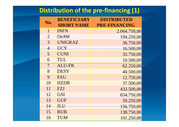#### **Distribution of the pre‐financing (1)**

| No.              | <b>BENEFICIARY</b> | <b>DISTRIBUTED</b>   |
|------------------|--------------------|----------------------|
|                  | <b>SHORT NAME</b>  | <b>PRE-FINANCING</b> |
| $\mathbf{1}$     | <b>INFN</b>        | 2.064.750,00         |
| $\overline{2}$   | <b>OeAW</b>        | 194.250,00           |
| 3                | <b>UNIGRAZ</b>     | 36.750,00            |
| $\overline{4}$   | <b>UCY</b>         | 16.500,00            |
| 5                | <b>CUNI</b>        | 33.750,00            |
| 6                | TUL                | 10.500,00            |
| $\overline{7}$   | <b>ALU-FR</b>      | 62.250,00            |
| 8                | <b>DESY</b>        | 40.500,00            |
| $\boldsymbol{Q}$ | FAU                | 12.750,00            |
| 10               | <b>HZDR</b>        | 37.500,00            |
| 11               | FZJ                | 433.500,00           |
| 12               | <b>GSI</b>         | 654.750,00           |
| 13               | <b>GUF</b>         | 59.250,00            |
| 14               | <b>HHII</b>        | 156.750,00           |
| 15               | <b>RUB</b>         | 138.750,00           |
| 16               | <b>TUM</b>         | 101.250,00           |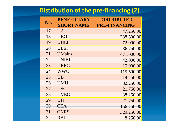#### **Distribution of the pre‐financing (2)**

| No. | <b>BENEFICIARY</b> | <b>DISTRIBUTED</b>   |
|-----|--------------------|----------------------|
|     | <b>SHORT NAME</b>  | <b>PRE-FINANCING</b> |
| 17  | UA <sup>.</sup>    | 47.250,00            |
| 18  | <b>UBO</b>         | 238.500,00           |
| 19  | <b>UHEI</b>        | 72.000,00            |
| 20  | <b>ULEI</b>        | 36.750,00            |
| 21  | <b>UMainz</b>      | 471.000,00           |
| 22  | <b>UNIBI</b>       | 42.000,00            |
| 23  | <b>UREG</b>        | 15.000,00            |
| 24  | WWU                | 115.500,00           |
| 25  | <b>UB</b>          | 14.250,00            |
| 26  | <b>UMU</b>         | 32.250,00            |
| 27  | <b>USC</b>         | 21.750,00            |
| 28  | <b>UVEG</b>        | 38.250,00            |
| 29  | UH                 | 21.750,00            |
| 30  | <b>CEA</b>         | 156.750,00           |
| 31  | <b>CNRS</b>        | 329.250,00           |
| 32  | <b>RBI</b>         | 8.250,00             |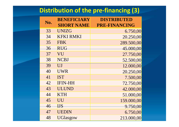#### **Distribution of the pre‐financing (3)**

| No. | <b>BENEFICIARY</b> | <b>DISTRIBUTED</b>   |
|-----|--------------------|----------------------|
|     | <b>SHORT NAME</b>  | <b>PRE-FINANCING</b> |
| 33  | <b>UNIZG</b>       | 6.750,00             |
| 34  | <b>KFKI RMKI</b>   | 20.250,00            |
| 35  | <b>FBK</b>         | 289.500,00           |
| 36  | <b>RUG</b>         | 45.000,00            |
| 37  | VU                 | 27.750,00            |
| 38  | <b>NCBJ</b>        | 52.500,00            |
| 39  | UJ                 | 12.000,00            |
| 40  | <b>UWR</b>         | 20.250,00            |
| 41  | <b>IST</b>         | 7.500,00             |
| 42  | <b>IFIN-HH</b>     | 72.750,00            |
| 43  | <b>ULUND</b>       | 42.000,00            |
| 44  | <b>KTH</b>         | 51.000,00            |
| 45  | UU                 | 159.000,00           |
| 46  | <b>IJS</b>         | 9.750,00             |
| 47  | <b>UEDIN</b>       | 6.750,00             |
| 48  | UGlasgow           | 213.000,00           |